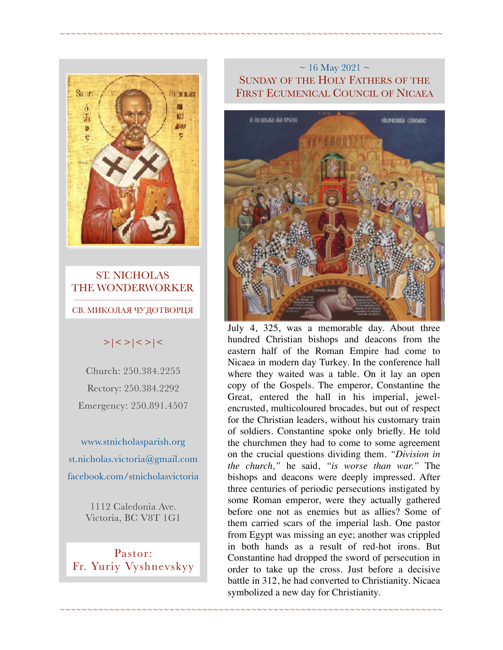

### ST. NICHOLAS THE WONDERWORKER  $\frac{1}{\sqrt{2}}$  ,  $\frac{1}{\sqrt{2}}$  ,  $\frac{1}{\sqrt{2}}$  ,  $\frac{1}{\sqrt{2}}$  ,  $\frac{1}{\sqrt{2}}$  ,  $\frac{1}{\sqrt{2}}$  ,  $\frac{1}{\sqrt{2}}$  ,  $\frac{1}{\sqrt{2}}$  ,  $\frac{1}{\sqrt{2}}$  ,  $\frac{1}{\sqrt{2}}$  ,  $\frac{1}{\sqrt{2}}$  ,  $\frac{1}{\sqrt{2}}$  ,  $\frac{1}{\sqrt{2}}$  ,  $\frac{1}{\sqrt{2}}$  ,  $\frac{1}{\sqrt{2}}$ СВ. МИКОЛАЯ ЧУДОТВОРЦЯ

# $>|$  < >  $|$  <  $>$   $|$  <  $>$   $|$  <  $>$   $|$  <

Church: 250.384.2255 Rectory: 250.384.2292 Emergency: 250.891.4507

[www.stnicholasparish.org](http://www.stnicholasparish.org)  [st.nicholas.victoria@gmail.com](mailto:st.nicholas.victoria@gmail.com)  [facebook.com/stnicholasvictoria](http://facebook.com/stnicholasvictoria)

> 1112 Caledonia Ave. Victoria, BC V8T 1G1

Pastor: Fr. Yuriy Vyshnevskyy

## $\sim$  16 May 2021  $\sim$ SUNDAY OF THE HOLY FATHERS OF THE FIRST ECUMENICAL COUNCIL OF NICAEA

~~~~~~~~~~~~~~~~~~~~~~~~~~~~~~~~~~~~~~~~~~~~~~~~~~~~~~~~~~~~~~~~~~~~~~



July 4, 325, was a memorable day. About three hundred Christian bishops and deacons from the eastern half of the Roman Empire had come to Nicaea in modern day Turkey. In the conference hall where they waited was a table. On it lay an open copy of the Gospels. The emperor, Constantine the Great, entered the hall in his imperial, jewelencrusted, multicoloured brocades, but out of respect for the Christian leaders, without his customary train of soldiers. Constantine spoke only briefly. He told the churchmen they had to come to some agreement on the crucial questions dividing them. *"Division in the church,"* he said, *"is worse than war."* The bishops and deacons were deeply impressed. After three centuries of periodic persecutions instigated by some Roman emperor, were they actually gathered before one not as enemies but as allies? Some of them carried scars of the imperial lash. One pastor from Egypt was missing an eye; another was crippled in both hands as a result of red-hot irons. But Constantine had dropped the sword of persecution in order to take up the cross. Just before a decisive battle in 312, he had converted to Christianity. Nicaea symbolized a new day for Christianity.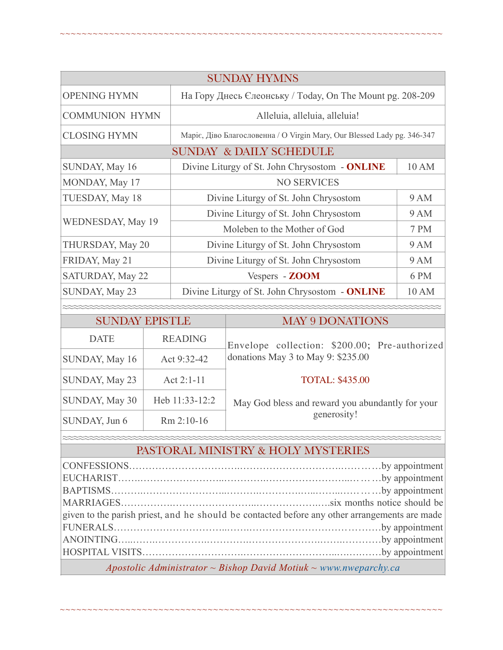| <b>SUNDAY HYMNS</b>                |                |                                                                         |                                                                                     |      |  |
|------------------------------------|----------------|-------------------------------------------------------------------------|-------------------------------------------------------------------------------------|------|--|
| <b>OPENING HYMN</b>                |                | На Гору Днесь Єлеонську / Today, On The Mount pg. 208-209               |                                                                                     |      |  |
| <b>COMMUNION HYMN</b>              |                | Alleluia, alleluia, alleluia!                                           |                                                                                     |      |  |
| <b>CLOSING HYMN</b>                |                | Маріє, Діво Благословенна / O Virgin Mary, Our Blessed Lady pg. 346-347 |                                                                                     |      |  |
| <b>SUNDAY &amp; DAILY SCHEDULE</b> |                |                                                                         |                                                                                     |      |  |
| SUNDAY, May 16                     |                | Divine Liturgy of St. John Chrysostom - ONLINE<br>10 AM                 |                                                                                     |      |  |
| MONDAY, May 17                     |                | <b>NO SERVICES</b>                                                      |                                                                                     |      |  |
| TUESDAY, May 18                    |                | Divine Liturgy of St. John Chrysostom                                   |                                                                                     | 9 AM |  |
| WEDNESDAY, May 19                  |                | Divine Liturgy of St. John Chrysostom                                   |                                                                                     | 9 AM |  |
|                                    |                | Moleben to the Mother of God                                            |                                                                                     | 7 PM |  |
| THURSDAY, May 20                   |                | <b>9 AM</b><br>Divine Liturgy of St. John Chrysostom                    |                                                                                     |      |  |
| FRIDAY, May 21                     |                | <b>9 AM</b><br>Divine Liturgy of St. John Chrysostom                    |                                                                                     |      |  |
| SATURDAY, May 22                   |                | 6 PM<br>Vespers - ZOOM                                                  |                                                                                     |      |  |
| SUNDAY, May 23                     |                | Divine Liturgy of St. John Chrysostom - ONLINE<br>10 AM                 |                                                                                     |      |  |
|                                    |                |                                                                         |                                                                                     |      |  |
| <b>SUNDAY EPISTLE</b>              |                |                                                                         | <b>MAY 9 DONATIONS</b>                                                              |      |  |
| <b>DATE</b>                        |                | <b>READING</b>                                                          | Envelope collection: \$200.00; Pre-authorized<br>donations May 3 to May 9: \$235.00 |      |  |
| SUNDAY, May 16                     |                | Act 9:32-42                                                             |                                                                                     |      |  |
| SUNDAY, May 23                     | Act 2:1-11     |                                                                         | <b>TOTAL: \$435.00</b>                                                              |      |  |
| SUNDAY, May 30                     | Heb 11:33-12:2 |                                                                         | May God bless and reward you abundantly for your                                    |      |  |
| SUNDAY, Jun 6                      | Rm 2:10-16     |                                                                         | generosity!                                                                         |      |  |

~~~~~~~~~~~~~~~~~~~~~~~~~~~~~~~~~~~~~~~~~~~~~~~~~~~~~~~~~~~~~~~~~~~~~~

### ≈≈≈≈≈≈≈≈≈≈≈≈≈≈≈≈≈≈≈≈≈≈≈≈≈≈≈≈≈≈≈≈≈≈≈≈≈≈≈≈≈≈≈≈≈≈≈≈≈≈≈≈≈≈≈≈≈≈≈≈≈≈≈≈≈≈≈≈≈≈ PASTORAL MINISTRY & HOLY MYSTERIES

| given to the parish priest, and he should be contacted before any other arrangements are made |  |  |  |  |
|-----------------------------------------------------------------------------------------------|--|--|--|--|
|                                                                                               |  |  |  |  |
|                                                                                               |  |  |  |  |
|                                                                                               |  |  |  |  |
| Apostolic Administrator ~ Bishop David Motiuk ~ www.nweparchy.ca                              |  |  |  |  |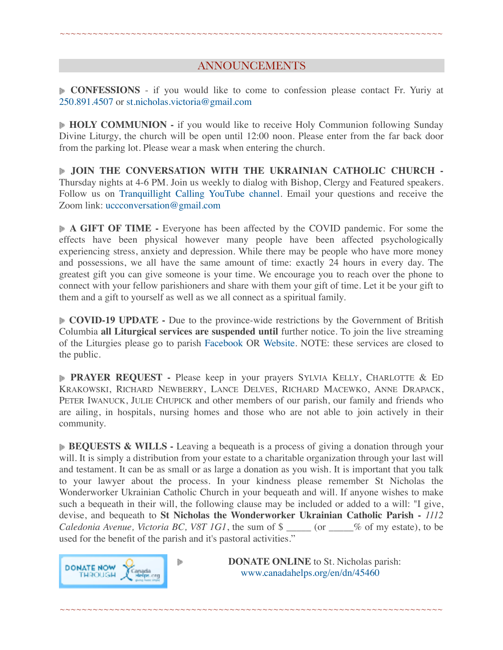## ANNOUNCEMENTS

~~~~~~~~~~~~~~~~~~~~~~~~~~~~~~~~~~~~~~~~~~~~~~~~~~~~~~~~~~~~~~~~~~~~~~

**CONFESSIONS** - if you would like to come to confession please contact Fr. Yuriy at 250.891.4507 or [st.nicholas.victoria@gmail.com](mailto:st.nicholas.victoria@gmail.com)

**HOLY COMMUNION -** if you would like to receive Holy Communion following Sunday Divine Liturgy, the church will be open until 12:00 noon. Please enter from the far back door from the parking lot. Please wear a mask when entering the church.

**JOIN THE CONVERSATION WITH THE UKRAINIAN CATHOLIC CHURCH -**  Thursday nights at 4-6 PM. Join us weekly to dialog with Bishop, Clergy and Featured speakers. Follow us on [Tranquillight Calling YouTube channel.](https://www.youtube.com/channel/UCf39034kKgMTZl_hacrM9nA) Email your questions and receive the Zoom link: [uccconversation@gmail.com](mailto:uccconversation@gmail.com)

**A GIFT OF TIME -** Everyone has been affected by the COVID pandemic. For some the effects have been physical however many people have been affected psychologically experiencing stress, anxiety and depression. While there may be people who have more money and possessions, we all have the same amount of time: exactly 24 hours in every day. The greatest gift you can give someone is your time. We encourage you to reach over the phone to connect with your fellow parishioners and share with them your gift of time. Let it be your gift to them and a gift to yourself as well as we all connect as a spiritual family.

**COVID-19 UPDATE** - Due to the province-wide restrictions by the Government of British Columbia **all Liturgical services are suspended until** further notice. To join the live streaming of the Liturgies please go to parish [Facebook](https://www.facebook.com/stnicholasvictoria) OR [Website.](http://www.stnicholasparish.org) NOTE: these services are closed to the public.

**PRAYER REQUEST -** Please keep in your prayers SYLVIA KELLY, CHARLOTTE & ED KRAKOWSKI, RICHARD NEWBERRY, LANCE DELVES, RICHARD MACEWKO, ANNE DRAPACK, PETER IWANUCK, JULIE CHUPICK and other members of our parish, our family and friends who are ailing, in hospitals, nursing homes and those who are not able to join actively in their community.

**BEQUESTS & WILLS** - Leaving a bequeath is a process of giving a donation through your will. It is simply a distribution from your estate to a charitable organization through your last will and testament. It can be as small or as large a donation as you wish. It is important that you talk to your lawyer about the process. In your kindness please remember St Nicholas the Wonderworker Ukrainian Catholic Church in your bequeath and will. If anyone wishes to make such a bequeath in their will, the following clause may be included or added to a will: "I give, devise, and bequeath to **St Nicholas the Wonderworker Ukrainian Catholic Parish -** *1112 Caledonia Avenue, Victoria BC, V8T 1G1*, the sum of \$ \_\_\_\_\_ (or \_\_\_\_% of my estate), to be used for the benefit of the parish and it's pastoral activities."

~~~~~~~~~~~~~~~~~~~~~~~~~~~~~~~~~~~~~~~~~~~~~~~~~~~~~~~~~~~~~~~~~~~~~~



**DONATE ONLINE** to St. Nicholas parish: [www.canadahelps.org/en/dn/45460](http://www.canadahelps.org/en/dn/45460)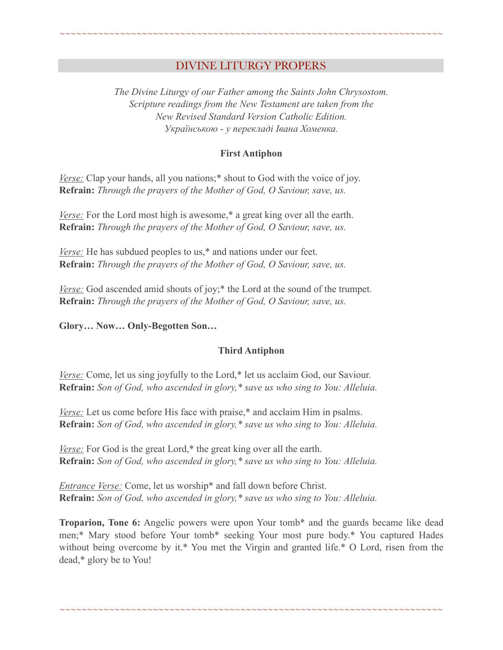## DIVINE LITURGY PROPERS

~~~~~~~~~~~~~~~~~~~~~~~~~~~~~~~~~~~~~~~~~~~~~~~~~~~~~~~~~~~~~~~~~~~~~~

*The Divine Liturgy of our Father among the Saints John Chrysostom. Scripture readings from the New Testament are taken from the New Revised Standard Version Catholic Edition. Українською - у перекладі Івана Хоменка.* 

#### **First Antiphon**

*Verse:* Clap your hands, all you nations;\* shout to God with the voice of joy. **Refrain:** *Through the prayers of the Mother of God, O Saviour, save, us.*

*Verse:* For the Lord most high is awesome,<sup>\*</sup> a great king over all the earth. **Refrain:** *Through the prayers of the Mother of God, O Saviour, save, us.*

*Verse:* He has subdued peoples to us,<sup>\*</sup> and nations under our feet. **Refrain:** *Through the prayers of the Mother of God, O Saviour, save, us.*

*Verse:* God ascended amid shouts of joy;<sup>\*</sup> the Lord at the sound of the trumpet. **Refrain:** *Through the prayers of the Mother of God, O Saviour, save, us.*

**Glory… Now… Only-Begotten Son…** 

### **Third Antiphon**

*Verse:* Come, let us sing joyfully to the Lord,<sup>\*</sup> let us acclaim God, our Saviour. **Refrain:** *Son of God, who ascended in glory,\* save us who sing to You: Alleluia.*

*Verse:* Let us come before His face with praise,\* and acclaim Him in psalms. **Refrain:** *Son of God, who ascended in glory,\* save us who sing to You: Alleluia.*

*Verse:* For God is the great Lord,<sup>\*</sup> the great king over all the earth. **Refrain:** *Son of God, who ascended in glory,\* save us who sing to You: Alleluia.*

*Entrance Verse:* Come, let us worship\* and fall down before Christ. **Refrain:** *Son of God, who ascended in glory,\* save us who sing to You: Alleluia.*

**Troparion, Tone 6:** Angelic powers were upon Your tomb\* and the guards became like dead men;\* Mary stood before Your tomb\* seeking Your most pure body.\* You captured Hades without being overcome by it.\* You met the Virgin and granted life.\* O Lord, risen from the dead,\* glory be to You!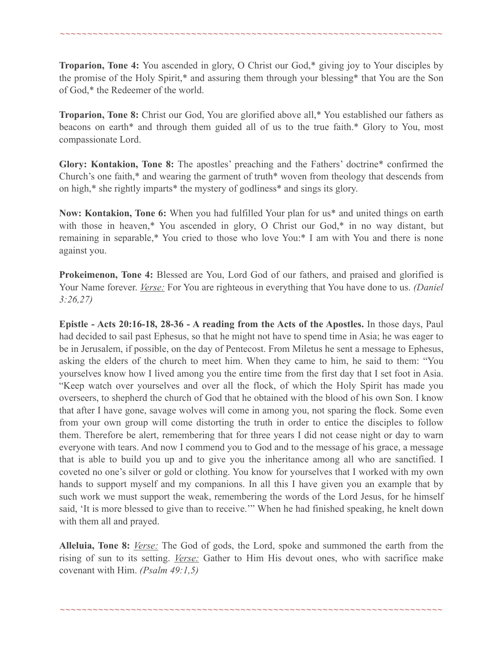**Troparion, Tone 4:** You ascended in glory, O Christ our God,\* giving joy to Your disciples by the promise of the Holy Spirit,\* and assuring them through your blessing\* that You are the Son of God,\* the Redeemer of the world.

~~~~~~~~~~~~~~~~~~~~~~~~~~~~~~~~~~~~~~~~~~~~~~~~~~~~~~~~~~~~~~~~~~~~~~

**Troparion, Tone 8:** Christ our God, You are glorified above all,\* You established our fathers as beacons on earth\* and through them guided all of us to the true faith.\* Glory to You, most compassionate Lord.

**Glory: Kontakion, Tone 8:** The apostles' preaching and the Fathers' doctrine\* confirmed the Church's one faith,\* and wearing the garment of truth\* woven from theology that descends from on high,\* she rightly imparts\* the mystery of godliness\* and sings its glory.

**Now: Kontakion, Tone 6:** When you had fulfilled Your plan for us\* and united things on earth with those in heaven,\* You ascended in glory, O Christ our God,\* in no way distant, but remaining in separable,\* You cried to those who love You:\* I am with You and there is none against you.

**Prokeimenon, Tone 4:** Blessed are You, Lord God of our fathers, and praised and glorified is Your Name forever. *Verse:* For You are righteous in everything that You have done to us. *(Daniel 3:26,27)*

**Epistle - Acts 20:16-18, 28-36 - A reading from the Acts of the Apostles.** In those days, Paul had decided to sail past Ephesus, so that he might not have to spend time in Asia; he was eager to be in Jerusalem, if possible, on the day of Pentecost. From Miletus he sent a message to Ephesus, asking the elders of the church to meet him. When they came to him, he said to them: "You yourselves know how I lived among you the entire time from the first day that I set foot in Asia. "Keep watch over yourselves and over all the flock, of which the Holy Spirit has made you overseers, to shepherd the church of God that he obtained with the blood of his own Son. I know that after I have gone, savage wolves will come in among you, not sparing the flock. Some even from your own group will come distorting the truth in order to entice the disciples to follow them. Therefore be alert, remembering that for three years I did not cease night or day to warn everyone with tears. And now I commend you to God and to the message of his grace, a message that is able to build you up and to give you the inheritance among all who are sanctified. I coveted no one's silver or gold or clothing. You know for yourselves that I worked with my own hands to support myself and my companions. In all this I have given you an example that by such work we must support the weak, remembering the words of the Lord Jesus, for he himself said, 'It is more blessed to give than to receive.'" When he had finished speaking, he knelt down with them all and prayed.

**Alleluia, Tone 8:** *Verse:* The God of gods, the Lord, spoke and summoned the earth from the rising of sun to its setting. *Verse:* Gather to Him His devout ones, who with sacrifice make covenant with Him. *(Psalm 49:1,5)*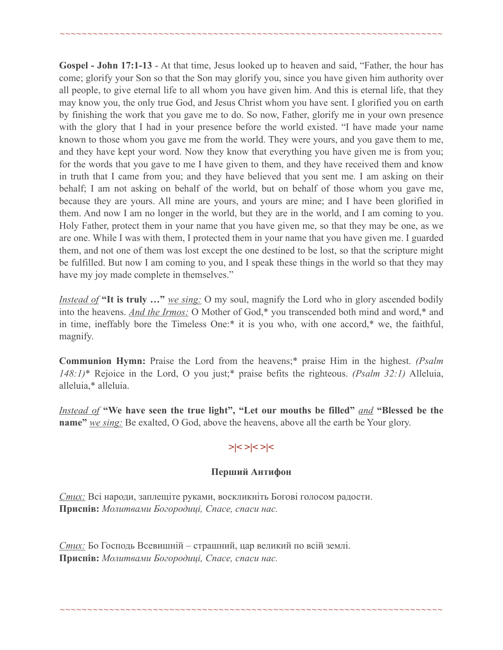**Gospel - John 17:1-13** - At that time, Jesus looked up to heaven and said, "Father, the hour has come; glorify your Son so that the Son may glorify you, since you have given him authority over all people, to give eternal life to all whom you have given him. And this is eternal life, that they may know you, the only true God, and Jesus Christ whom you have sent. I glorified you on earth by finishing the work that you gave me to do. So now, Father, glorify me in your own presence with the glory that I had in your presence before the world existed. "I have made your name known to those whom you gave me from the world. They were yours, and you gave them to me, and they have kept your word. Now they know that everything you have given me is from you; for the words that you gave to me I have given to them, and they have received them and know in truth that I came from you; and they have believed that you sent me. I am asking on their behalf; I am not asking on behalf of the world, but on behalf of those whom you gave me, because they are yours. All mine are yours, and yours are mine; and I have been glorified in them. And now I am no longer in the world, but they are in the world, and I am coming to you. Holy Father, protect them in your name that you have given me, so that they may be one, as we are one. While I was with them, I protected them in your name that you have given me. I guarded them, and not one of them was lost except the one destined to be lost, so that the scripture might be fulfilled. But now I am coming to you, and I speak these things in the world so that they may have my joy made complete in themselves."

~~~~~~~~~~~~~~~~~~~~~~~~~~~~~~~~~~~~~~~~~~~~~~~~~~~~~~~~~~~~~~~~~~~~~~

*Instead of* **"It is truly …"** *we sing:* O my soul, magnify the Lord who in glory ascended bodily into the heavens. *And the Irmos:* O Mother of God,\* you transcended both mind and word,\* and in time, ineffably bore the Timeless One:\* it is you who, with one accord,\* we, the faithful, magnify.

**Communion Hymn:** Praise the Lord from the heavens;\* praise Him in the highest. *(Psalm 148:1)*\* Rejoice in the Lord, O you just;\* praise befits the righteous. *(Psalm 32:1)* Alleluia, alleluia,\* alleluia.

*Instead of* **"We have seen the true light", "Let our mouths be filled"** *and* **"Blessed be the name"** *we sing:* Be exalted, O God, above the heavens, above all the earth be Your glory.

## **>|< >|< >|<**

## **Перший Антифон**

~~~~~~~~~~~~~~~~~~~~~~~~~~~~~~~~~~~~~~~~~~~~~~~~~~~~~~~~~~~~~~~~~~~~~~

*Стих:* Всі народи, заплещіте руками, воскликніть Богові голосом радости. **Приспів:** *Молитвами Богородиці, Спасе, спаси нас.*

*Стих:* Бо Господь Всевишній – страшний, цар великий по всій землі. **Приспів:** *Молитвами Богородиці, Спасе, спаси нас.*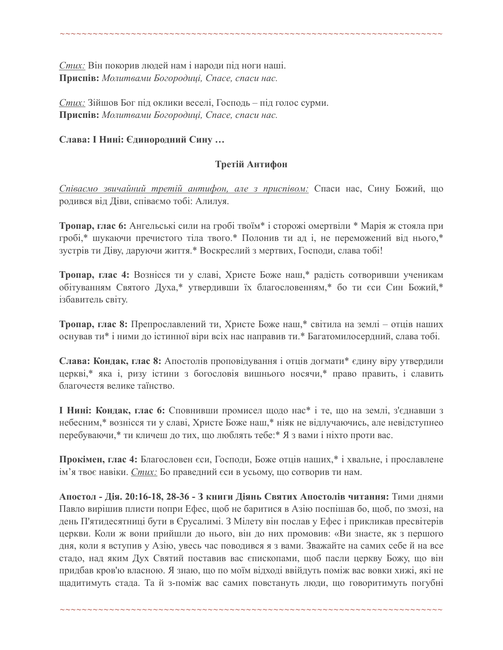*Стих:* Він покорив людей нам і народи під ноги наші. **Приспів:** *Молитвами Богородиці, Спасе, спаси нас.*

*Стих:* Зійшов Бог під оклики веселі, Господь – під голос сурми. **Приспів:** *Молитвами Богородиці, Спасе, спаси нас.*

### **Слава: І Нині: Єдинородний Сину …**

### **Третій Антифон**

~~~~~~~~~~~~~~~~~~~~~~~~~~~~~~~~~~~~~~~~~~~~~~~~~~~~~~~~~~~~~~~~~~~~~~

*Співаємо звичайний третій антифон, але з приспівoм:* Спаси нас, Сину Божий, що родився від Діви, співаємо тобі: Алилуя.

**Тропар, глас 6:** Ангельські сили на гробі твоїм\* і сторожі омертвіли \* Марія ж стояла при гробі,\* шукаючи пречистого тіла твого.\* Полонив ти ад і, не переможений від нього,\* зустрів ти Діву, даруючи життя.\* Воскреслий з мертвих, Господи, слава тобі!

**Тропар, глас 4:** Вознісся ти у славі, Христе Боже наш,\* радість сотворивши ученикам обітуванням Святого Духа,\* утвердивши їх благословенням,\* бо ти єси Син Божий,\* ізбавитель світу.

**Тропар, глас 8:** Препрославлений ти, Христе Боже наш,\* світила на землі – отців наших оснував ти\* і ними до істинної віри всіх нас направив ти.\* Багатомилосердний, слава тобі.

**Слава: Кондак, глас 8:** Апостолів проповідування і отців догмати\* єдину віру утвердили церкві,\* яка і, ризу істини з богословія вишнього носячи,\* право править, і славить благочестя велике таїнство.

**І Нині: Кондак, глас 6:** Сповнивши промисел щодо нас\* і те, що на землі, з'єднавши з небесним,\* вознісся ти у славі, Христе Боже наш,\* ніяк не відлучаючись, але невідступнео перебуваючи,\* ти кличеш до тих, що люблять тебе:\* Я з вами і ніхто проти вас.

**Прокімен, глас 4:** Благословен єси, Господи, Боже отців наших,\* і хвальне, і прославлене ім'я твоє навіки. *Стих:* Бо праведний єси в усьому, що сотворив ти нам.

**Апостол - Дія. 20:16-18, 28-36 - З книги Діянь Святих Апостолів читання:** Тими днями Павло вирішив плисти попри Ефес, щоб не баритися в Азію поспішав бо, щоб, по змозі, на день П'ятидесятниці бути в Єрусалимі. З Мілету він послав у Ефес і прикликав пресвітерів церкви. Коли ж вони прийшли до нього, він до них промовив: «Ви знаєте, як з першого дня, коли я вступив у Азію, увесь час поводився я з вами. Зважайте на самих себе й на все стадо, над яким Дух Святий поставив вас єпископами, щоб пасли церкву Божу, що він придбав кров'ю власною. Я знаю, що по моїм відході ввійдуть поміж вас вовки хижі, які не щадитимуть стада. Та й з-поміж вас самих повстануть люди, що говоритимуть погубні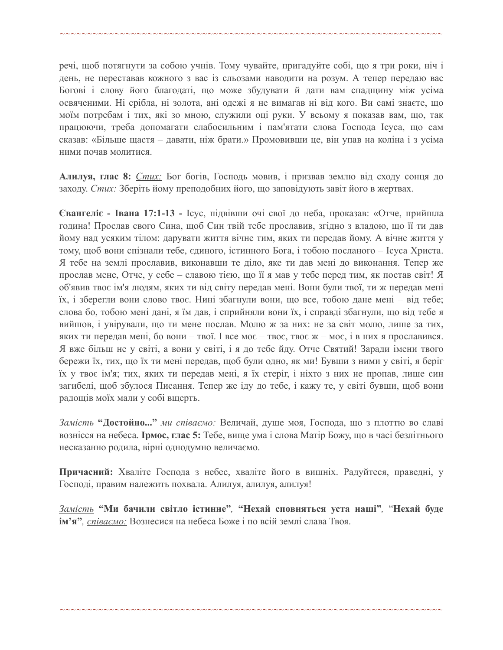~~~~~~~~~~~~~~~~~~~~~~~~~~~~~~~~~~~~~~~~~~~~~~~~~~~~~~~~~~~~~~~~~~~~~~

речі, щоб потягнути за собою учнів. Тому чувайте, пригадуйте собі, що я три роки, ніч і день, не переставав кожного з вас із сльозами наводити на розум. А тепер передаю вас Богові і слову його благодаті, що може збудувати й дати вам спадщину між усіма освяченими. Ні срібла, ні золота, ані одежі я не вимагав ні від кого. Ви самі знаєте, що моїм потребам і тих, які зо мною, служили оці руки. У всьому я показав вам, що, так працюючи, треба допомагати слабосильним і пам'ятати слова Господа Ісуса, що сам сказав: «Більше щастя – давати, ніж брати.» Промовивши це, він упав на коліна і з усіма ними почав молитися.

**Алилуя, глас 8:** *Стих:* Бог богів, Господь мовив, і призвав землю від сходу сонця до заходу. *Стих:* Зберіть йому преподобних його, що заповідують завіт його в жертвах.

**Євангеліє - Івана 17:1-13 -** Ісус, підвівши очі свої до неба, проказав: «Отче, прийшла година! Прослав свого Сина, щоб Син твій тебе прославив, згідно з владою, що її ти дав йому над усяким тілом: дарувати життя вічне тим, яких ти передав йому. А вічне життя у тому, щоб вони спізнали тебе, єдиного, істинного Бога, і тобою посланого – Ісуса Христа. Я тебе на землі прославив, виконавши те діло, яке ти дав мені до виконання. Тепер же прослав мене, Отче, у себе – славою тією, що її я мав у тебе перед тим, як постав світ! Я об'явив твоє ім'я людям, яких ти від світу передав мені. Вони були твої, ти ж передав мені їх, і зберегли вони слово твоє. Нині збагнули вони, що все, тобою дане мені – від тебе; слова бо, тобою мені дані, я їм дав, і сприйняли вони їх, і справді збагнули, що від тебе я вийшов, і увірували, що ти мене послав. Молю ж за них: не за світ молю, лише за тих, яких ти передав мені, бо вони – твої. І все моє – твоє, твоє ж – моє, і в них я прославився. Я вже більш не у світі, а вони у світі, і я до тебе йду. Отче Святий! Заради імени твого бережи їх, тих, що їх ти мені передав, щоб були одно, як ми! Бувши з ними у світі, я беріг їх у твоє ім'я; тих, яких ти передав мені, я їх стеріг, і ніхто з них не пропав, лише син загибелі, щоб збулося Писання. Тепер же іду до тебе, і кажу те, у світі бувши, щоб вони радощів моїх мали у собі вщерть.

*Замість* **"Достойно..."** *ми співаємо:* Величай, душе моя, Господа, що з плоттю во славі вознісся на небеса. **Ірмос, глас 5:** Тебе, вище ума і слова Матір Божу, що в часі безлітнього несказанно родила, вірні однодумно величаємо.

**Причасний:** Хваліте Господа з небес, хваліте його в вишніх. Радуйтеся, праведні, у Господі, правим належить похвала. Алилуя, aлилуя, aлилуя!

*Замість* **"Ми бачили світло істинне"***,* **"Нехай сповняться уста наші"***,* "**Нехай буде ім'я"***, співаємо:* Вознесися на небеса Боже і по всій землі слава Твоя.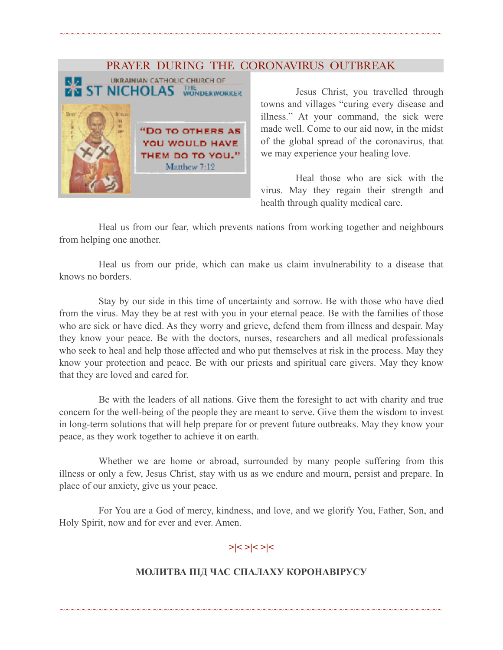### PRAYER DURING THE CORONAVIRUS OUTBREAK

~~~~~~~~~~~~~~~~~~~~~~~~~~~~~~~~~~~~~~~~~~~~~~~~~~~~~~~~~~~~~~~~~~~~~~



 Jesus Christ, you travelled through towns and villages "curing every disease and illness." At your command, the sick were made well. Come to our aid now, in the midst of the global spread of the coronavirus, that we may experience your healing love.

 Heal those who are sick with the virus. May they regain their strength and health through quality medical care.

Heal us from our fear, which prevents nations from working together and neighbours from helping one another.

Heal us from our pride, which can make us claim invulnerability to a disease that knows no borders.

Stay by our side in this time of uncertainty and sorrow. Be with those who have died from the virus. May they be at rest with you in your eternal peace. Be with the families of those who are sick or have died. As they worry and grieve, defend them from illness and despair. May they know your peace. Be with the doctors, nurses, researchers and all medical professionals who seek to heal and help those affected and who put themselves at risk in the process. May they know your protection and peace. Be with our priests and spiritual care givers. May they know that they are loved and cared for.

Be with the leaders of all nations. Give them the foresight to act with charity and true concern for the well-being of the people they are meant to serve. Give them the wisdom to invest in long-term solutions that will help prepare for or prevent future outbreaks. May they know your peace, as they work together to achieve it on earth.

Whether we are home or abroad, surrounded by many people suffering from this illness or only a few, Jesus Christ, stay with us as we endure and mourn, persist and prepare. In place of our anxiety, give us your peace.

For You are a God of mercy, kindness, and love, and we glorify You, Father, Son, and Holy Spirit, now and for ever and ever. Amen.

## **>|< >|< >|<**

## **МОЛИТВА ПІД ЧАС СПАЛАХУ КОРОНАВІРУСУ**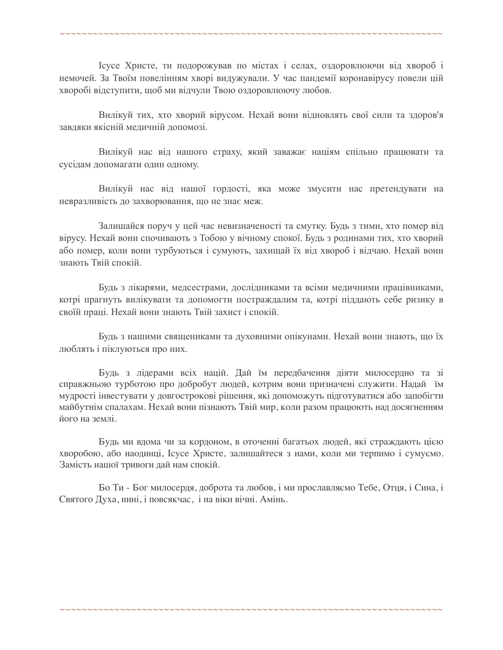Ісусе Христе, ти подорожував по містах і селах, оздоровлюючи від хвороб і немочей. За Твоїм повелінням хворі видужували. У час пандемії коронавірусу повели цій хворобі відступити, щоб ми відчули Твою оздоровлюючу любов.

~~~~~~~~~~~~~~~~~~~~~~~~~~~~~~~~~~~~~~~~~~~~~~~~~~~~~~~~~~~~~~~~~~~~~~

Вилікуй тих, хто хворий вірусом. Нехай вони відновлять свої сили та здоров'я завдяки якісній медичній допомозі.

Вилікуй нас від нашого страху, який заважає націям спільно працювати та сусідам допомагати один одному.

Вилікуй нас від нашої гордості, яка може змусити нас претендувати на невразливість до захворювання, що не знає меж.

Залишайся поруч у цей час невизначеності та смутку. Будь з тими, хто помер від вірусу. Нехай вони спочивають з Тобою у вічному спокої. Будь з родинами тих, хто хворий або помер, коли вони турбуються і сумують, захищай їх від хвороб і відчаю. Нехай вони знають Твій спокій.

Будь з лікарями, медсестрами, дослідниками та всіми медичними працівниками, котрі прагнуть вилікувати та допомогти постраждалим та, котрі піддають себе ризику в своїй праці. Нехай вони знають Твій захист і спокій.

Будь з нашими священиками та духовними опікунами. Нехай вони знають, що їх люблять і піклуються про них.

Будь з лідерами всіх націй. Дай їм передбачення діяти милосердно та зі справжньою турботою про добробут людей, котрим вони призначені служити. Надай їм мудрості інвестувати у довгострокові рішення, які допоможуть підготуватися або запобігти майбутнім спалахам. Нехай вони пізнають Твій мир, коли разом працюють над досягненням його на землі.

Будь ми вдома чи за кордоном, в оточенні багатьох людей, які страждають цією хворобою, або наодинці, Ісусе Христе, залишайтеся з нами, коли ми терпимо і сумуємо. Замість нашої тривоги дай нам спокій.

Бо Ти - Бог милосердя, доброта та любов, і ми прославляємо Тебе, Отця, і Сина, і Святого Духа, нині, і повсякчас, і на віки вічні. Амінь.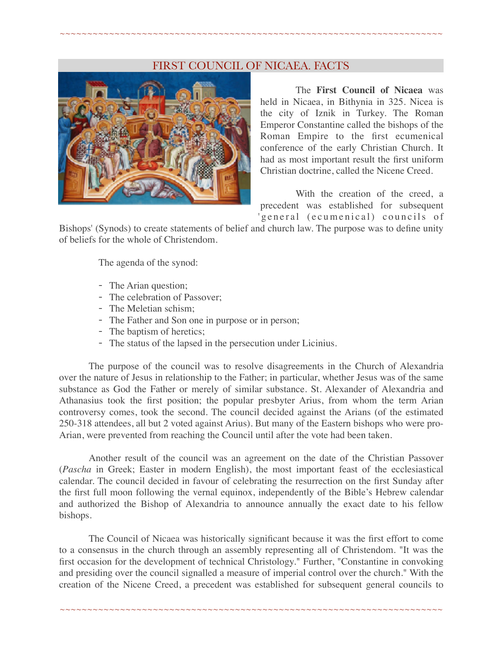### FIRST COUNCIL OF NICAEA. FACTS

~~~~~~~~~~~~~~~~~~~~~~~~~~~~~~~~~~~~~~~~~~~~~~~~~~~~~~~~~~~~~~~~~~~~~~



The **First Council of Nicaea** was held in Nicaea, in Bithynia in 325. Nicea is the city of Iznik in Turkey. The Roman Emperor Constantine called the bishops of the Roman Empire to the first ecumenical conference of the early Christian Church. It had as most important result the first uniform Christian doctrine, called the Nicene Creed.

With the creation of the creed, a precedent was established for subsequent 'general (ecumenical) councils of

Bishops' (Synods) to create statements of belief and church law. The purpose was to define unity of beliefs for the whole of Christendom.

The agenda of the synod:

- The Arian question;
- The celebration of Passover;
- The Meletian schism;
- The Father and Son one in purpose or in person;
- The baptism of heretics;
- The status of the lapsed in the persecution under Licinius.

The purpose of the council was to resolve disagreements in the Church of Alexandria over the nature of Jesus in relationship to the Father; in particular, whether Jesus was of the same substance as God the Father or merely of similar substance. St. Alexander of Alexandria and Athanasius took the first position; the popular presbyter Arius, from whom the term Arian controversy comes, took the second. The council decided against the Arians (of the estimated 250-318 attendees, all but 2 voted against Arius). But many of the Eastern bishops who were pro-Arian, were prevented from reaching the Council until after the vote had been taken.

Another result of the council was an agreement on the date of the Christian Passover (*Pascha* in Greek; Easter in modern English), the most important feast of the ecclesiastical calendar. The council decided in favour of celebrating the resurrection on the first Sunday after the first full moon following the vernal equinox, independently of the Bible's Hebrew calendar and authorized the Bishop of Alexandria to announce annually the exact date to his fellow bishops.

The Council of Nicaea was historically significant because it was the first effort to come to a consensus in the church through an assembly representing all of Christendom. "It was the first occasion for the development of technical Christology." Further, "Constantine in convoking and presiding over the council signalled a measure of imperial control over the church." With the creation of the Nicene Creed, a precedent was established for subsequent general councils to